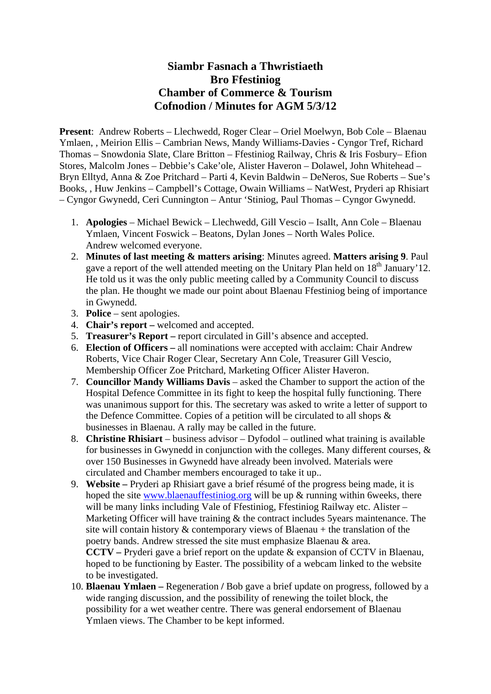## **Siambr Fasnach a Thwristiaeth Bro Ffestiniog Chamber of Commerce & Tourism Cofnodion / Minutes for AGM 5/3/12**

**Present**: Andrew Roberts – Llechwedd, Roger Clear – Oriel Moelwyn, Bob Cole – Blaenau Ymlaen, , Meirion Ellis – Cambrian News, Mandy Williams-Davies - Cyngor Tref, Richard Thomas – Snowdonia Slate, Clare Britton – Ffestiniog Railway, Chris & Iris Fosbury– Efion Stores, Malcolm Jones – Debbie's Cake'ole, Alister Haveron – Dolawel, John Whitehead – Bryn Elltyd, Anna & Zoe Pritchard – Parti 4, Kevin Baldwin – DeNeros, Sue Roberts – Sue's Books, , Huw Jenkins – Campbell's Cottage, Owain Williams – NatWest, Pryderi ap Rhisiart – Cyngor Gwynedd, Ceri Cunnington – Antur 'Stiniog, Paul Thomas – Cyngor Gwynedd.

- 1. **Apologies** Michael Bewick Llechwedd, Gill Vescio Isallt, Ann Cole Blaenau Ymlaen, Vincent Foswick – Beatons, Dylan Jones – North Wales Police. Andrew welcomed everyone.
- 2. **Minutes of last meeting & matters arising**: Minutes agreed. **Matters arising 9**. Paul gave a report of the well attended meeting on the Unitary Plan held on  $18<sup>th</sup>$  January'12. He told us it was the only public meeting called by a Community Council to discuss the plan. He thought we made our point about Blaenau Ffestiniog being of importance in Gwynedd.
- 3. **Police** sent apologies.
- 4. **Chair's report** welcomed and accepted.
- 5. **Treasurer's Report** report circulated in Gill's absence and accepted.
- 6. **Election of Officers –** all nominations were accepted with acclaim: Chair Andrew Roberts, Vice Chair Roger Clear, Secretary Ann Cole, Treasurer Gill Vescio, Membership Officer Zoe Pritchard, Marketing Officer Alister Haveron.
- 7. **Councillor Mandy Williams Davis** asked the Chamber to support the action of the Hospital Defence Committee in its fight to keep the hospital fully functioning. There was unanimous support for this. The secretary was asked to write a letter of support to the Defence Committee. Copies of a petition will be circulated to all shops  $\&$ businesses in Blaenau. A rally may be called in the future.
- 8. **Christine Rhisiart** business advisor Dyfodol outlined what training is available for businesses in Gwynedd in conjunction with the colleges. Many different courses, & over 150 Businesses in Gwynedd have already been involved. Materials were circulated and Chamber members encouraged to take it up..
- 9. **Website** Pryderi ap Rhisiart gave a brief résumé of the progress being made, it is hoped the site www.blaenauffestiniog.org will be up & running within 6weeks, there will be many links including Vale of Ffestiniog, Ffestiniog Railway etc. Alister – Marketing Officer will have training & the contract includes 5years maintenance. The site will contain history  $\&$  contemporary views of Blaenau + the translation of the poetry bands. Andrew stressed the site must emphasize Blaenau & area. **CCTV –** Pryderi gave a brief report on the update & expansion of CCTV in Blaenau, hoped to be functioning by Easter. The possibility of a webcam linked to the website to be investigated.
- 10. **Blaenau Ymlaen** Regeneration **/** Bob gave a brief update on progress, followed by a wide ranging discussion, and the possibility of renewing the toilet block, the possibility for a wet weather centre. There was general endorsement of Blaenau Ymlaen views. The Chamber to be kept informed.